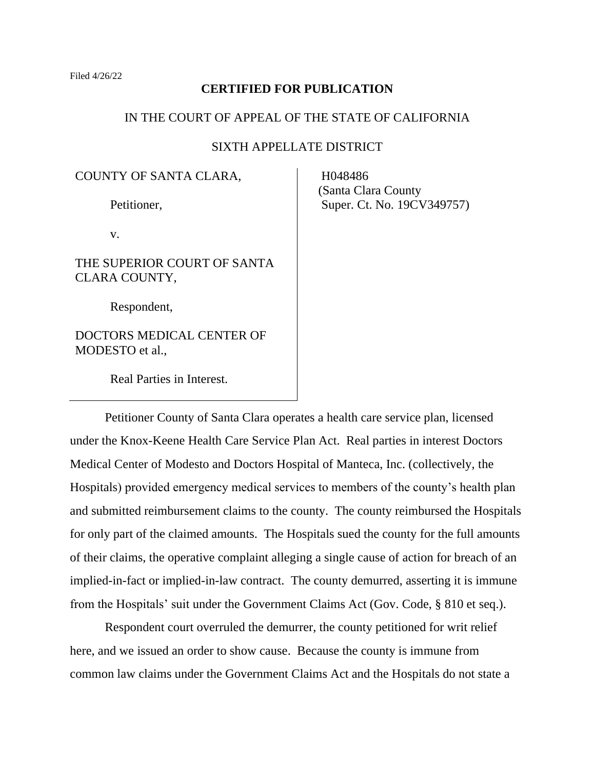### **CERTIFIED FOR PUBLICATION**

# IN THE COURT OF APPEAL OF THE STATE OF CALIFORNIA

# SIXTH APPELLATE DISTRICT

COUNTY OF SANTA CLARA,

Petitioner,

v.

THE SUPERIOR COURT OF SANTA CLARA COUNTY,

Respondent,

DOCTORS MEDICAL CENTER OF MODESTO et al.,

Real Parties in Interest.

 H048486 (Santa Clara County Super. Ct. No. 19CV349757)

Petitioner County of Santa Clara operates a health care service plan, licensed under the Knox-Keene Health Care Service Plan Act. Real parties in interest Doctors Medical Center of Modesto and Doctors Hospital of Manteca, Inc. (collectively, the Hospitals) provided emergency medical services to members of the county's health plan and submitted reimbursement claims to the county. The county reimbursed the Hospitals for only part of the claimed amounts. The Hospitals sued the county for the full amounts of their claims, the operative complaint alleging a single cause of action for breach of an implied-in-fact or implied-in-law contract. The county demurred, asserting it is immune from the Hospitals' suit under the Government Claims Act (Gov. Code, § 810 et seq.).

Respondent court overruled the demurrer, the county petitioned for writ relief here, and we issued an order to show cause. Because the county is immune from common law claims under the Government Claims Act and the Hospitals do not state a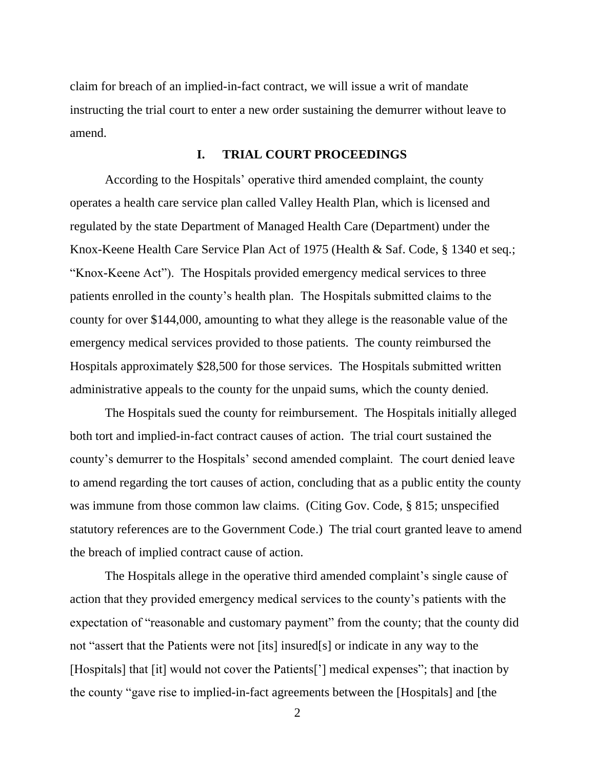claim for breach of an implied-in-fact contract, we will issue a writ of mandate instructing the trial court to enter a new order sustaining the demurrer without leave to amend.

## **I. TRIAL COURT PROCEEDINGS**

According to the Hospitals' operative third amended complaint, the county operates a health care service plan called Valley Health Plan, which is licensed and regulated by the state Department of Managed Health Care (Department) under the Knox-Keene Health Care Service Plan Act of 1975 (Health & Saf. Code, § 1340 et seq.; "Knox-Keene Act"). The Hospitals provided emergency medical services to three patients enrolled in the county's health plan. The Hospitals submitted claims to the county for over \$144,000, amounting to what they allege is the reasonable value of the emergency medical services provided to those patients. The county reimbursed the Hospitals approximately \$28,500 for those services. The Hospitals submitted written administrative appeals to the county for the unpaid sums, which the county denied.

The Hospitals sued the county for reimbursement. The Hospitals initially alleged both tort and implied-in-fact contract causes of action. The trial court sustained the county's demurrer to the Hospitals' second amended complaint. The court denied leave to amend regarding the tort causes of action, concluding that as a public entity the county was immune from those common law claims. (Citing Gov. Code, § 815; unspecified statutory references are to the Government Code.) The trial court granted leave to amend the breach of implied contract cause of action.

The Hospitals allege in the operative third amended complaint's single cause of action that they provided emergency medical services to the county's patients with the expectation of "reasonable and customary payment" from the county; that the county did not "assert that the Patients were not [its] insured[s] or indicate in any way to the [Hospitals] that [it] would not cover the Patients['] medical expenses"; that inaction by the county "gave rise to implied-in-fact agreements between the [Hospitals] and [the

 $\mathcal{L}$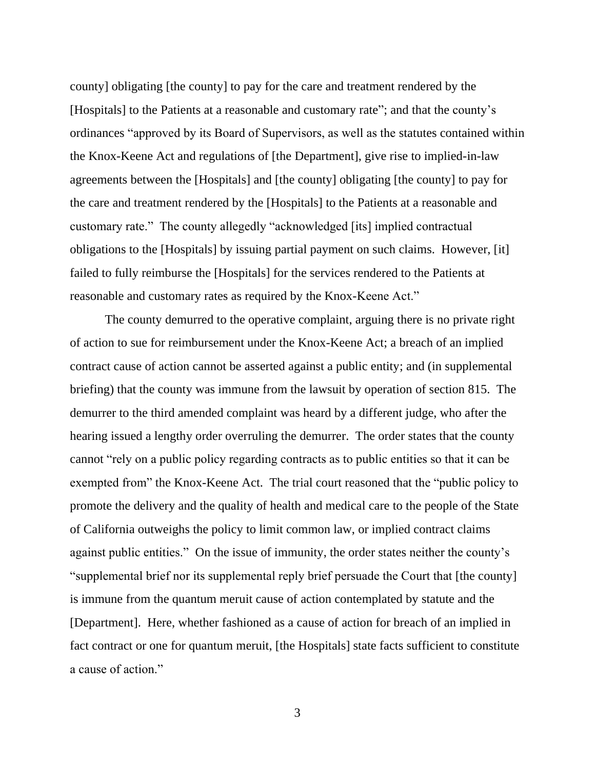county] obligating [the county] to pay for the care and treatment rendered by the [Hospitals] to the Patients at a reasonable and customary rate"; and that the county's ordinances "approved by its Board of Supervisors, as well as the statutes contained within the Knox-Keene Act and regulations of [the Department], give rise to implied-in-law agreements between the [Hospitals] and [the county] obligating [the county] to pay for the care and treatment rendered by the [Hospitals] to the Patients at a reasonable and customary rate." The county allegedly "acknowledged [its] implied contractual obligations to the [Hospitals] by issuing partial payment on such claims. However, [it] failed to fully reimburse the [Hospitals] for the services rendered to the Patients at reasonable and customary rates as required by the Knox-Keene Act."

The county demurred to the operative complaint, arguing there is no private right of action to sue for reimbursement under the Knox-Keene Act; a breach of an implied contract cause of action cannot be asserted against a public entity; and (in supplemental briefing) that the county was immune from the lawsuit by operation of section 815. The demurrer to the third amended complaint was heard by a different judge, who after the hearing issued a lengthy order overruling the demurrer. The order states that the county cannot "rely on a public policy regarding contracts as to public entities so that it can be exempted from" the Knox-Keene Act. The trial court reasoned that the "public policy to promote the delivery and the quality of health and medical care to the people of the State of California outweighs the policy to limit common law, or implied contract claims against public entities." On the issue of immunity, the order states neither the county's "supplemental brief nor its supplemental reply brief persuade the Court that [the county] is immune from the quantum meruit cause of action contemplated by statute and the [Department]. Here, whether fashioned as a cause of action for breach of an implied in fact contract or one for quantum meruit, [the Hospitals] state facts sufficient to constitute a cause of action."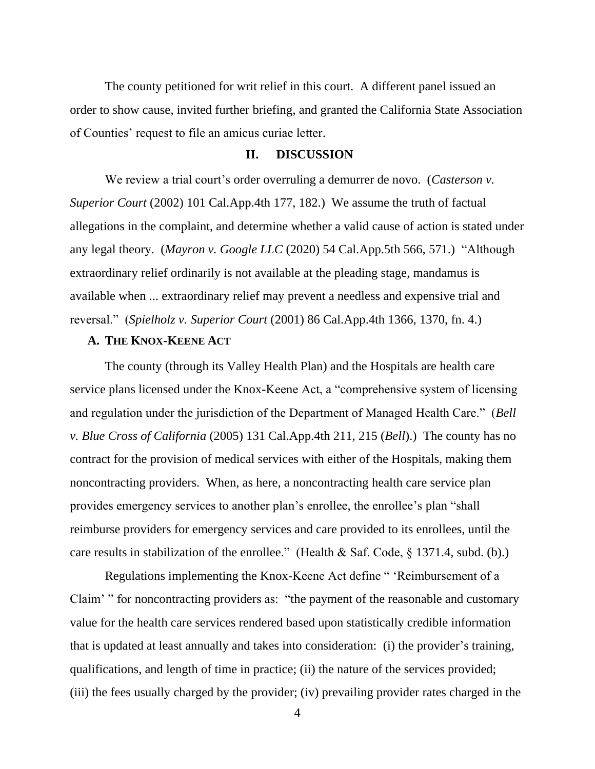The county petitioned for writ relief in this court. A different panel issued an order to show cause, invited further briefing, and granted the California State Association of Counties' request to file an amicus curiae letter.

### **II. DISCUSSION**

We review a trial court's order overruling a demurrer de novo. (*Casterson v. Superior Court* (2002) 101 Cal.App.4th 177, 182.) We assume the truth of factual allegations in the complaint, and determine whether a valid cause of action is stated under any legal theory. (*Mayron v. Google LLC* (2020) 54 Cal.App.5th 566, 571.) "Although extraordinary relief ordinarily is not available at the pleading stage, mandamus is available when ... extraordinary relief may prevent a needless and expensive trial and reversal." (*Spielholz v. Superior Court* (2001) 86 Cal.App.4th 1366, 1370, fn. 4.)

# **A. THE KNOX-KEENE ACT**

The county (through its Valley Health Plan) and the Hospitals are health care service plans licensed under the Knox-Keene Act, a "comprehensive system of licensing and regulation under the jurisdiction of the Department of Managed Health Care." (*Bell v. Blue Cross of California* (2005) 131 Cal.App.4th 211, 215 (*Bell*).) The county has no contract for the provision of medical services with either of the Hospitals, making them noncontracting providers. When, as here, a noncontracting health care service plan provides emergency services to another plan's enrollee, the enrollee's plan "shall reimburse providers for emergency services and care provided to its enrollees, until the care results in stabilization of the enrollee." (Health & Saf. Code, § 1371.4, subd. (b).)

Regulations implementing the Knox-Keene Act define " 'Reimbursement of a Claim' " for noncontracting providers as: "the payment of the reasonable and customary value for the health care services rendered based upon statistically credible information that is updated at least annually and takes into consideration: (i) the provider's training, qualifications, and length of time in practice; (ii) the nature of the services provided; (iii) the fees usually charged by the provider; (iv) prevailing provider rates charged in the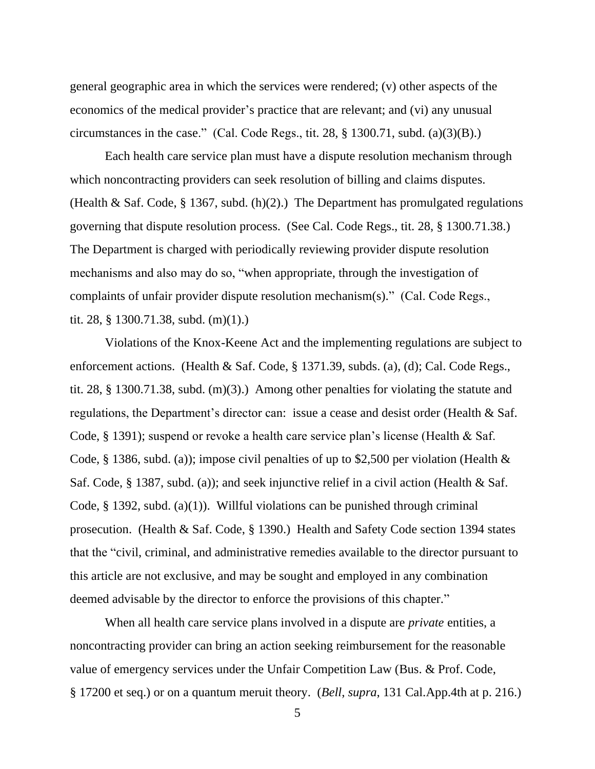general geographic area in which the services were rendered; (v) other aspects of the economics of the medical provider's practice that are relevant; and (vi) any unusual circumstances in the case." (Cal. Code Regs., tit. 28,  $\S$  1300.71, subd. (a)(3)(B).)

Each health care service plan must have a dispute resolution mechanism through which noncontracting providers can seek resolution of billing and claims disputes. (Health & Saf. Code, § 1367, subd. (h)(2).) The Department has promulgated regulations governing that dispute resolution process. (See Cal. Code Regs., tit. 28, § 1300.71.38.) The Department is charged with periodically reviewing provider dispute resolution mechanisms and also may do so, "when appropriate, through the investigation of complaints of unfair provider dispute resolution mechanism(s)." (Cal. Code Regs., tit. 28, § 1300.71.38, subd. (m)(1).)

Violations of the Knox-Keene Act and the implementing regulations are subject to enforcement actions. (Health & Saf. Code, § 1371.39, subds. (a), (d); Cal. Code Regs., tit. 28, § 1300.71.38, subd. (m)(3).) Among other penalties for violating the statute and regulations, the Department's director can: issue a cease and desist order (Health & Saf. Code, § 1391); suspend or revoke a health care service plan's license (Health & Saf. Code, § 1386, subd. (a)); impose civil penalties of up to \$2,500 per violation (Health & Saf. Code, § 1387, subd. (a)); and seek injunctive relief in a civil action (Health & Saf. Code, § 1392, subd. (a)(1)). Willful violations can be punished through criminal prosecution. (Health & Saf. Code, § 1390.) Health and Safety Code section 1394 states that the "civil, criminal, and administrative remedies available to the director pursuant to this article are not exclusive, and may be sought and employed in any combination deemed advisable by the director to enforce the provisions of this chapter."

When all health care service plans involved in a dispute are *private* entities, a noncontracting provider can bring an action seeking reimbursement for the reasonable value of emergency services under the Unfair Competition Law (Bus. & Prof. Code, § 17200 et seq.) or on a quantum meruit theory. (*Bell*, *supra*, 131 Cal.App.4th at p. 216.)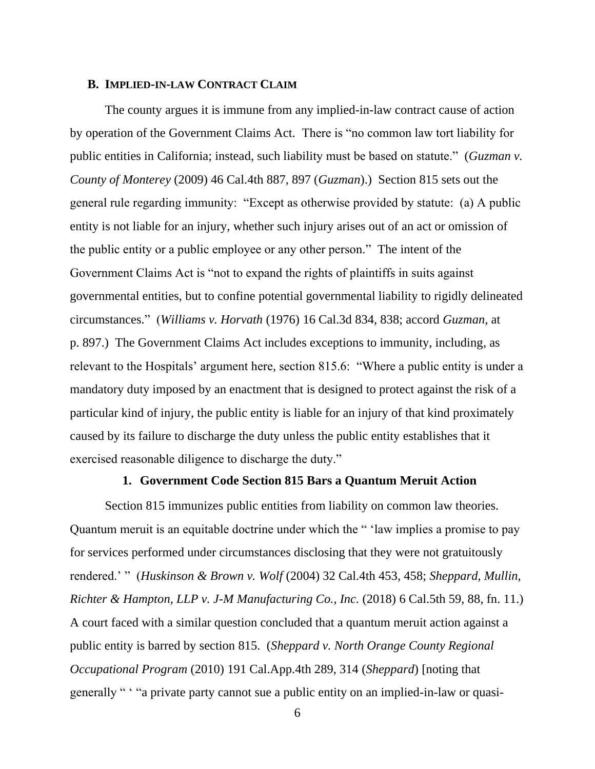#### **B. IMPLIED-IN-LAW CONTRACT CLAIM**

The county argues it is immune from any implied-in-law contract cause of action by operation of the Government Claims Act. There is "no common law tort liability for public entities in California; instead, such liability must be based on statute." (*Guzman v. County of Monterey* (2009) 46 Cal.4th 887, 897 (*Guzman*).) Section 815 sets out the general rule regarding immunity: "Except as otherwise provided by statute: (a) A public entity is not liable for an injury, whether such injury arises out of an act or omission of the public entity or a public employee or any other person." The intent of the Government Claims Act is "not to expand the rights of plaintiffs in suits against governmental entities, but to confine potential governmental liability to rigidly delineated circumstances." (*Williams v. Horvath* (1976) 16 Cal.3d 834, 838; accord *Guzman*, at p. 897.) The Government Claims Act includes exceptions to immunity, including, as relevant to the Hospitals' argument here, section 815.6: "Where a public entity is under a mandatory duty imposed by an enactment that is designed to protect against the risk of a particular kind of injury, the public entity is liable for an injury of that kind proximately caused by its failure to discharge the duty unless the public entity establishes that it exercised reasonable diligence to discharge the duty."

### **1. Government Code Section 815 Bars a Quantum Meruit Action**

Section 815 immunizes public entities from liability on common law theories. Quantum meruit is an equitable doctrine under which the " 'law implies a promise to pay for services performed under circumstances disclosing that they were not gratuitously rendered.' " (*Huskinson & Brown v. Wolf* (2004) 32 Cal.4th 453, 458; *Sheppard, Mullin, Richter & Hampton, LLP v. J-M Manufacturing Co., Inc.* (2018) 6 Cal.5th 59, 88, fn. 11.) A court faced with a similar question concluded that a quantum meruit action against a public entity is barred by section 815. (*Sheppard v. North Orange County Regional Occupational Program* (2010) 191 Cal.App.4th 289, 314 (*Sheppard*) [noting that generally " ' "a private party cannot sue a public entity on an implied-in-law or quasi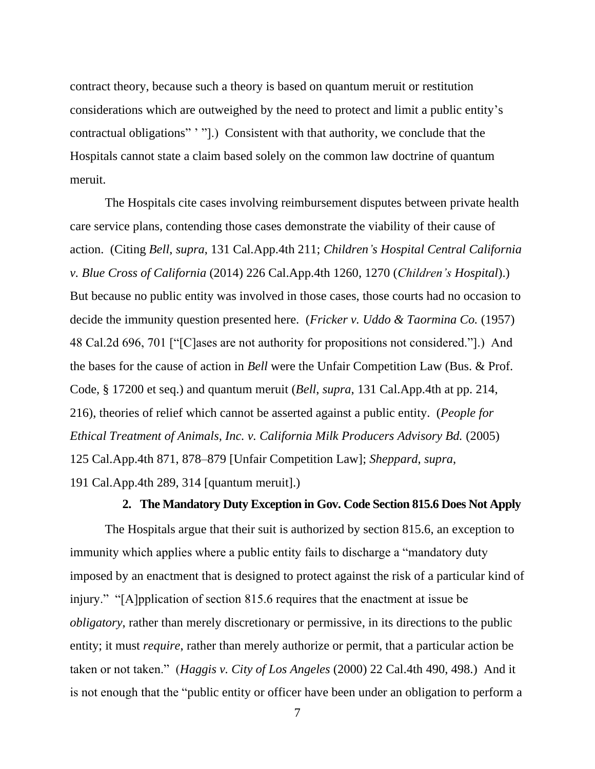contract theory, because such a theory is based on quantum meruit or restitution considerations which are outweighed by the need to protect and limit a public entity's contractual obligations" ' "].) Consistent with that authority, we conclude that the Hospitals cannot state a claim based solely on the common law doctrine of quantum meruit.

The Hospitals cite cases involving reimbursement disputes between private health care service plans, contending those cases demonstrate the viability of their cause of action. (Citing *Bell*, *supra*, 131 Cal.App.4th 211; *Children's Hospital Central California v. Blue Cross of California* (2014) 226 Cal.App.4th 1260, 1270 (*Children's Hospital*).) But because no public entity was involved in those cases, those courts had no occasion to decide the immunity question presented here. (*Fricker v. Uddo & Taormina Co.* (1957) 48 Cal.2d 696, 701 ["[C]ases are not authority for propositions not considered."].) And the bases for the cause of action in *Bell* were the Unfair Competition Law (Bus. & Prof. Code, § 17200 et seq.) and quantum meruit (*Bell*, *supra*, 131 Cal.App.4th at pp. 214, 216), theories of relief which cannot be asserted against a public entity. (*People for Ethical Treatment of Animals, Inc. v. California Milk Producers Advisory Bd.* (2005) 125 Cal.App.4th 871, 878–879 [Unfair Competition Law]; *Sheppard*, *supra*, 191 Cal.App.4th 289, 314 [quantum meruit].)

## **2. The Mandatory Duty Exception in Gov. Code Section 815.6 Does Not Apply**

The Hospitals argue that their suit is authorized by section 815.6, an exception to immunity which applies where a public entity fails to discharge a "mandatory duty imposed by an enactment that is designed to protect against the risk of a particular kind of injury." "[A]pplication of section 815.6 requires that the enactment at issue be *obligatory*, rather than merely discretionary or permissive, in its directions to the public entity; it must *require*, rather than merely authorize or permit, that a particular action be taken or not taken." (*Haggis v. City of Los Angeles* (2000) 22 Cal.4th 490, 498.) And it is not enough that the "public entity or officer have been under an obligation to perform a

<sup>7</sup>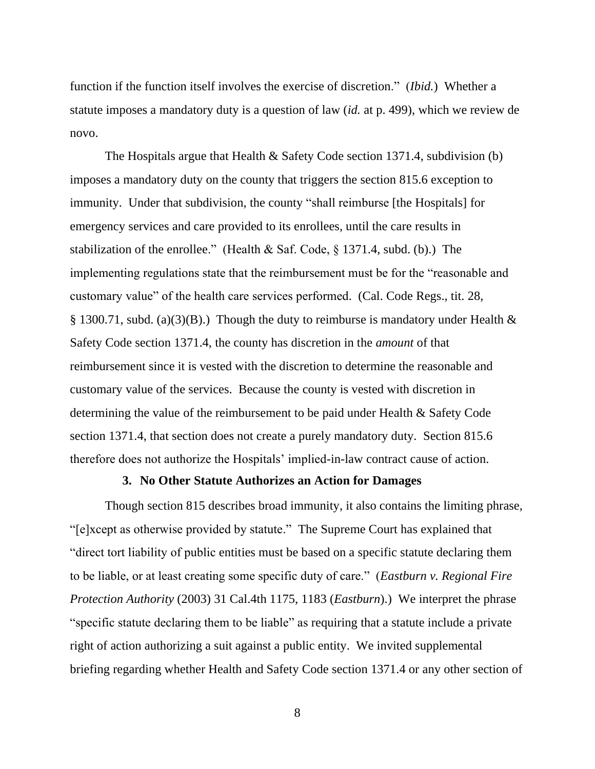function if the function itself involves the exercise of discretion." (*Ibid.*) Whether a statute imposes a mandatory duty is a question of law (*id.* at p. 499), which we review de novo.

The Hospitals argue that Health & Safety Code section 1371.4, subdivision (b) imposes a mandatory duty on the county that triggers the section 815.6 exception to immunity. Under that subdivision, the county "shall reimburse [the Hospitals] for emergency services and care provided to its enrollees, until the care results in stabilization of the enrollee." (Health & Saf. Code, § 1371.4, subd. (b).) The implementing regulations state that the reimbursement must be for the "reasonable and customary value" of the health care services performed. (Cal. Code Regs., tit. 28, § 1300.71, subd. (a)(3)(B).) Though the duty to reimburse is mandatory under Health  $\&$ Safety Code section 1371.4, the county has discretion in the *amount* of that reimbursement since it is vested with the discretion to determine the reasonable and customary value of the services. Because the county is vested with discretion in determining the value of the reimbursement to be paid under Health & Safety Code section 1371.4, that section does not create a purely mandatory duty. Section 815.6 therefore does not authorize the Hospitals' implied-in-law contract cause of action.

### **3. No Other Statute Authorizes an Action for Damages**

Though section 815 describes broad immunity, it also contains the limiting phrase, "[e]xcept as otherwise provided by statute." The Supreme Court has explained that "direct tort liability of public entities must be based on a specific statute declaring them to be liable, or at least creating some specific duty of care." (*Eastburn v. Regional Fire Protection Authority* (2003) 31 Cal.4th 1175, 1183 (*Eastburn*).) We interpret the phrase "specific statute declaring them to be liable" as requiring that a statute include a private right of action authorizing a suit against a public entity. We invited supplemental briefing regarding whether Health and Safety Code section 1371.4 or any other section of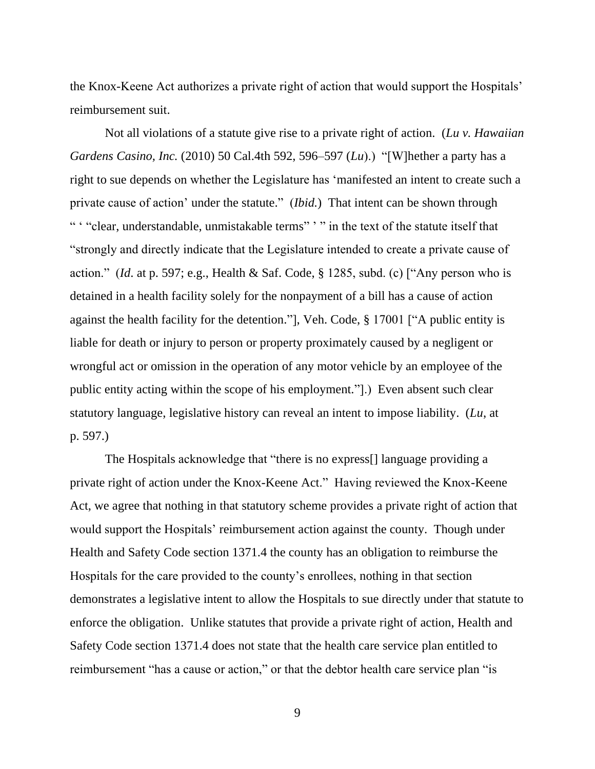the Knox-Keene Act authorizes a private right of action that would support the Hospitals' reimbursement suit.

Not all violations of a statute give rise to a private right of action. (*Lu v. Hawaiian Gardens Casino, Inc.* (2010) 50 Cal.4th 592, 596–597 (*Lu*).) "[W]hether a party has a right to sue depends on whether the Legislature has 'manifested an intent to create such a private cause of action' under the statute." (*Ibid.*) That intent can be shown through " ' "clear, understandable, unmistakable terms" ' " in the text of the statute itself that "strongly and directly indicate that the Legislature intended to create a private cause of action." (*Id*. at p. 597; e.g., Health & Saf. Code, § 1285, subd. (c) ["Any person who is detained in a health facility solely for the nonpayment of a bill has a cause of action against the health facility for the detention."], Veh. Code, § 17001 ["A public entity is liable for death or injury to person or property proximately caused by a negligent or wrongful act or omission in the operation of any motor vehicle by an employee of the public entity acting within the scope of his employment."].) Even absent such clear statutory language, legislative history can reveal an intent to impose liability. (*Lu*, at p. 597.)

The Hospitals acknowledge that "there is no express[] language providing a private right of action under the Knox-Keene Act." Having reviewed the Knox-Keene Act, we agree that nothing in that statutory scheme provides a private right of action that would support the Hospitals' reimbursement action against the county. Though under Health and Safety Code section 1371.4 the county has an obligation to reimburse the Hospitals for the care provided to the county's enrollees, nothing in that section demonstrates a legislative intent to allow the Hospitals to sue directly under that statute to enforce the obligation. Unlike statutes that provide a private right of action, Health and Safety Code section 1371.4 does not state that the health care service plan entitled to reimbursement "has a cause or action," or that the debtor health care service plan "is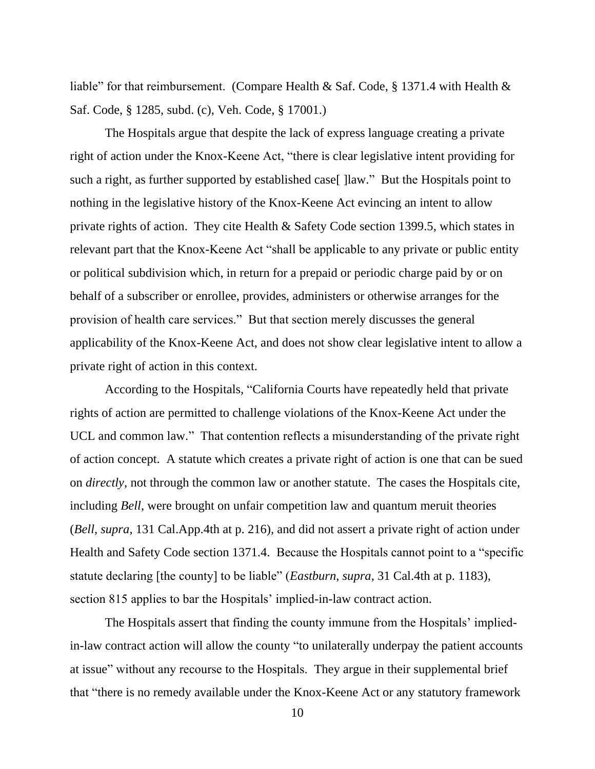liable" for that reimbursement. (Compare Health & Saf. Code, § 1371.4 with Health & Saf. Code, § 1285, subd. (c), Veh. Code, § 17001.)

The Hospitals argue that despite the lack of express language creating a private right of action under the Knox-Keene Act, "there is clear legislative intent providing for such a right, as further supported by established case [] [law." But the Hospitals point to nothing in the legislative history of the Knox-Keene Act evincing an intent to allow private rights of action. They cite Health & Safety Code section 1399.5, which states in relevant part that the Knox-Keene Act "shall be applicable to any private or public entity or political subdivision which, in return for a prepaid or periodic charge paid by or on behalf of a subscriber or enrollee, provides, administers or otherwise arranges for the provision of health care services." But that section merely discusses the general applicability of the Knox-Keene Act, and does not show clear legislative intent to allow a private right of action in this context.

According to the Hospitals, "California Courts have repeatedly held that private rights of action are permitted to challenge violations of the Knox-Keene Act under the UCL and common law." That contention reflects a misunderstanding of the private right of action concept. A statute which creates a private right of action is one that can be sued on *directly*, not through the common law or another statute. The cases the Hospitals cite, including *Bell*, were brought on unfair competition law and quantum meruit theories (*Bell*, *supra*, 131 Cal.App.4th at p. 216), and did not assert a private right of action under Health and Safety Code section 1371.4. Because the Hospitals cannot point to a "specific statute declaring [the county] to be liable" (*Eastburn*, *supra*, 31 Cal.4th at p. 1183), section 815 applies to bar the Hospitals' implied-in-law contract action.

The Hospitals assert that finding the county immune from the Hospitals' impliedin-law contract action will allow the county "to unilaterally underpay the patient accounts at issue" without any recourse to the Hospitals. They argue in their supplemental brief that "there is no remedy available under the Knox-Keene Act or any statutory framework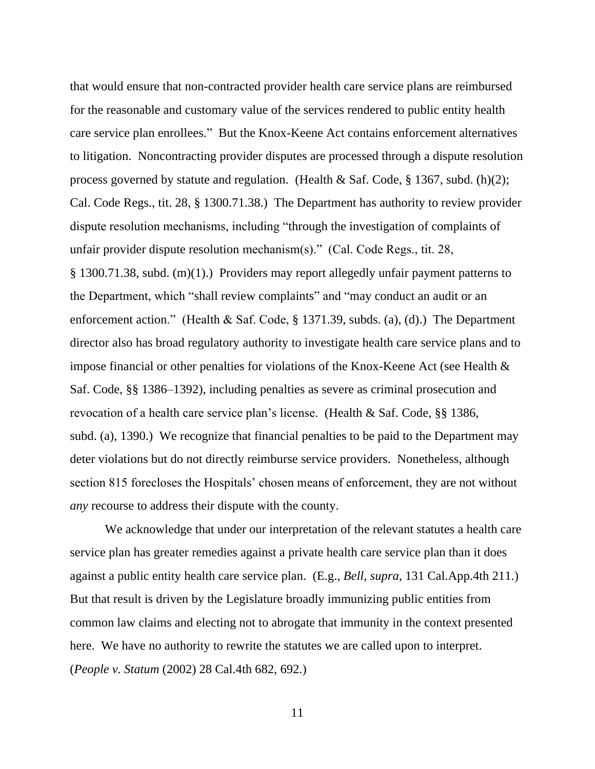that would ensure that non-contracted provider health care service plans are reimbursed for the reasonable and customary value of the services rendered to public entity health care service plan enrollees." But the Knox-Keene Act contains enforcement alternatives to litigation. Noncontracting provider disputes are processed through a dispute resolution process governed by statute and regulation. (Health & Saf. Code,  $\S$  1367, subd. (h)(2); Cal. Code Regs., tit. 28, § 1300.71.38.) The Department has authority to review provider dispute resolution mechanisms, including "through the investigation of complaints of unfair provider dispute resolution mechanism(s)." (Cal. Code Regs., tit. 28, § 1300.71.38, subd. (m)(1).) Providers may report allegedly unfair payment patterns to the Department, which "shall review complaints" and "may conduct an audit or an enforcement action." (Health & Saf. Code, § 1371.39, subds. (a), (d).) The Department director also has broad regulatory authority to investigate health care service plans and to impose financial or other penalties for violations of the Knox-Keene Act (see Health & Saf. Code, §§ 1386–1392), including penalties as severe as criminal prosecution and revocation of a health care service plan's license. (Health & Saf. Code, §§ 1386, subd. (a), 1390.) We recognize that financial penalties to be paid to the Department may deter violations but do not directly reimburse service providers. Nonetheless, although section 815 forecloses the Hospitals' chosen means of enforcement, they are not without *any* recourse to address their dispute with the county.

We acknowledge that under our interpretation of the relevant statutes a health care service plan has greater remedies against a private health care service plan than it does against a public entity health care service plan. (E.g., *Bell*, *supra*, 131 Cal.App.4th 211.) But that result is driven by the Legislature broadly immunizing public entities from common law claims and electing not to abrogate that immunity in the context presented here. We have no authority to rewrite the statutes we are called upon to interpret. (*People v. Statum* (2002) 28 Cal.4th 682, 692.)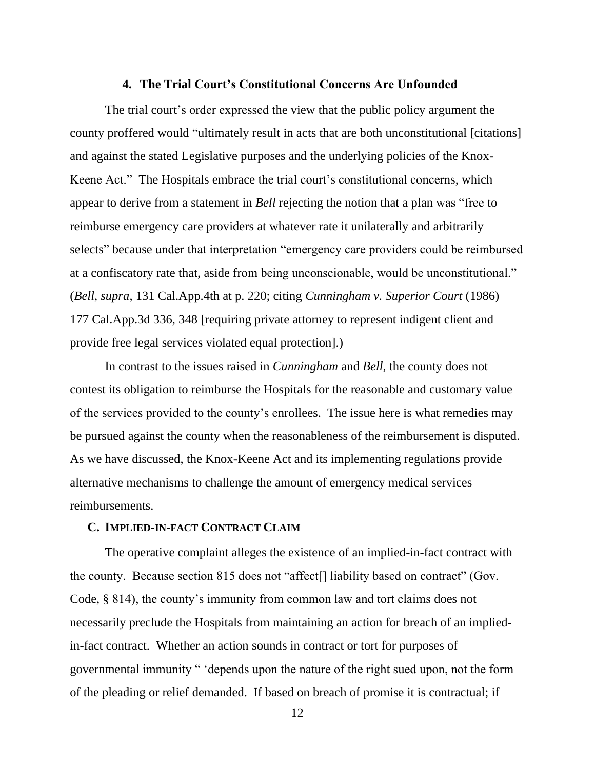#### **4. The Trial Court's Constitutional Concerns Are Unfounded**

The trial court's order expressed the view that the public policy argument the county proffered would "ultimately result in acts that are both unconstitutional [citations] and against the stated Legislative purposes and the underlying policies of the Knox-Keene Act." The Hospitals embrace the trial court's constitutional concerns, which appear to derive from a statement in *Bell* rejecting the notion that a plan was "free to reimburse emergency care providers at whatever rate it unilaterally and arbitrarily selects" because under that interpretation "emergency care providers could be reimbursed at a confiscatory rate that, aside from being unconscionable, would be unconstitutional." (*Bell*, *supra*, 131 Cal.App.4th at p. 220; citing *Cunningham v. Superior Court* (1986) 177 Cal.App.3d 336, 348 [requiring private attorney to represent indigent client and provide free legal services violated equal protection].)

In contrast to the issues raised in *Cunningham* and *Bell*, the county does not contest its obligation to reimburse the Hospitals for the reasonable and customary value of the services provided to the county's enrollees. The issue here is what remedies may be pursued against the county when the reasonableness of the reimbursement is disputed. As we have discussed, the Knox-Keene Act and its implementing regulations provide alternative mechanisms to challenge the amount of emergency medical services reimbursements.

#### **C. IMPLIED-IN-FACT CONTRACT CLAIM**

The operative complaint alleges the existence of an implied-in-fact contract with the county. Because section 815 does not "affect[] liability based on contract" (Gov. Code, § 814), the county's immunity from common law and tort claims does not necessarily preclude the Hospitals from maintaining an action for breach of an impliedin-fact contract. Whether an action sounds in contract or tort for purposes of governmental immunity " 'depends upon the nature of the right sued upon, not the form of the pleading or relief demanded. If based on breach of promise it is contractual; if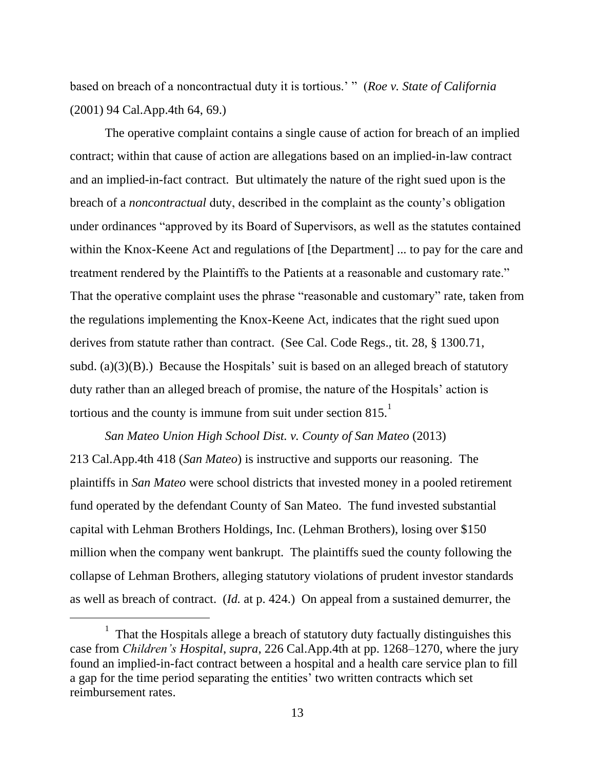based on breach of a noncontractual duty it is tortious.' " (*Roe v. State of California* (2001) 94 Cal.App.4th 64, 69.)

The operative complaint contains a single cause of action for breach of an implied contract; within that cause of action are allegations based on an implied-in-law contract and an implied-in-fact contract. But ultimately the nature of the right sued upon is the breach of a *noncontractual* duty, described in the complaint as the county's obligation under ordinances "approved by its Board of Supervisors, as well as the statutes contained within the Knox-Keene Act and regulations of [the Department] ... to pay for the care and treatment rendered by the Plaintiffs to the Patients at a reasonable and customary rate." That the operative complaint uses the phrase "reasonable and customary" rate, taken from the regulations implementing the Knox-Keene Act, indicates that the right sued upon derives from statute rather than contract. (See Cal. Code Regs., tit. 28, § 1300.71, subd. (a) $(3)(B)$ .) Because the Hospitals' suit is based on an alleged breach of statutory duty rather than an alleged breach of promise, the nature of the Hospitals' action is tortious and the county is immune from suit under section  $815$ .<sup>1</sup>

*San Mateo Union High School Dist. v. County of San Mateo* (2013) 213 Cal.App.4th 418 (*San Mateo*) is instructive and supports our reasoning. The plaintiffs in *San Mateo* were school districts that invested money in a pooled retirement fund operated by the defendant County of San Mateo. The fund invested substantial capital with Lehman Brothers Holdings, Inc. (Lehman Brothers), losing over \$150 million when the company went bankrupt. The plaintiffs sued the county following the collapse of Lehman Brothers, alleging statutory violations of prudent investor standards as well as breach of contract. (*Id.* at p. 424.) On appeal from a sustained demurrer, the

<sup>1</sup> That the Hospitals allege a breach of statutory duty factually distinguishes this case from *Children's Hospital*, *supra*, 226 Cal.App.4th at pp. 1268–1270, where the jury found an implied-in-fact contract between a hospital and a health care service plan to fill a gap for the time period separating the entities' two written contracts which set reimbursement rates.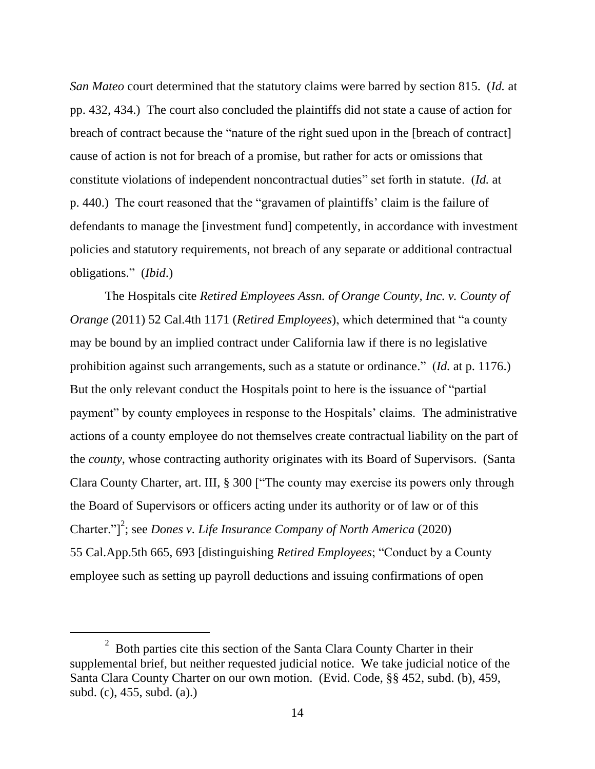*San Mateo* court determined that the statutory claims were barred by section 815. (*Id.* at pp. 432, 434.) The court also concluded the plaintiffs did not state a cause of action for breach of contract because the "nature of the right sued upon in the [breach of contract] cause of action is not for breach of a promise, but rather for acts or omissions that constitute violations of independent noncontractual duties" set forth in statute. (*Id.* at p. 440.) The court reasoned that the "gravamen of plaintiffs' claim is the failure of defendants to manage the [investment fund] competently, in accordance with investment policies and statutory requirements, not breach of any separate or additional contractual obligations." (*Ibid*.)

The Hospitals cite *Retired Employees Assn. of Orange County, Inc. v. County of Orange* (2011) 52 Cal.4th 1171 (*Retired Employees*), which determined that "a county may be bound by an implied contract under California law if there is no legislative prohibition against such arrangements, such as a statute or ordinance." (*Id.* at p. 1176.) But the only relevant conduct the Hospitals point to here is the issuance of "partial payment" by county employees in response to the Hospitals' claims. The administrative actions of a county employee do not themselves create contractual liability on the part of the *county*, whose contracting authority originates with its Board of Supervisors. (Santa Clara County Charter, art. III, § 300 ["The county may exercise its powers only through the Board of Supervisors or officers acting under its authority or of law or of this Charter." $]^{2}$ ; see *Dones v. Life Insurance Company of North America* (2020) 55 Cal.App.5th 665, 693 [distinguishing *Retired Employees*; "Conduct by a County employee such as setting up payroll deductions and issuing confirmations of open

 $2^{2}$  Both parties cite this section of the Santa Clara County Charter in their supplemental brief, but neither requested judicial notice. We take judicial notice of the Santa Clara County Charter on our own motion. (Evid. Code, §§ 452, subd. (b), 459, subd. (c), 455, subd. (a).)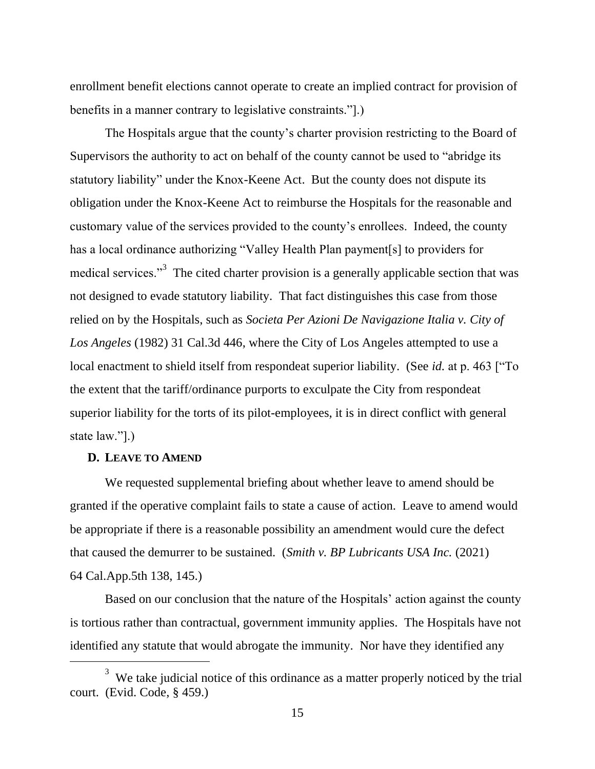enrollment benefit elections cannot operate to create an implied contract for provision of benefits in a manner contrary to legislative constraints."].)

The Hospitals argue that the county's charter provision restricting to the Board of Supervisors the authority to act on behalf of the county cannot be used to "abridge its statutory liability" under the Knox-Keene Act. But the county does not dispute its obligation under the Knox-Keene Act to reimburse the Hospitals for the reasonable and customary value of the services provided to the county's enrollees. Indeed, the county has a local ordinance authorizing "Valley Health Plan payment[s] to providers for medical services."<sup>3</sup> The cited charter provision is a generally applicable section that was not designed to evade statutory liability. That fact distinguishes this case from those relied on by the Hospitals, such as *Societa Per Azioni De Navigazione Italia v. City of Los Angeles* (1982) 31 Cal.3d 446, where the City of Los Angeles attempted to use a local enactment to shield itself from respondeat superior liability. (See *id.* at p. 463 ["To the extent that the tariff/ordinance purports to exculpate the City from respondeat superior liability for the torts of its pilot-employees, it is in direct conflict with general state law."].)

#### **D. LEAVE TO AMEND**

We requested supplemental briefing about whether leave to amend should be granted if the operative complaint fails to state a cause of action. Leave to amend would be appropriate if there is a reasonable possibility an amendment would cure the defect that caused the demurrer to be sustained. (*Smith v. BP Lubricants USA Inc.* (2021) 64 Cal.App.5th 138, 145.)

Based on our conclusion that the nature of the Hospitals' action against the county is tortious rather than contractual, government immunity applies. The Hospitals have not identified any statute that would abrogate the immunity. Nor have they identified any

<sup>&</sup>lt;sup>3</sup> We take judicial notice of this ordinance as a matter properly noticed by the trial court. (Evid. Code, § 459.)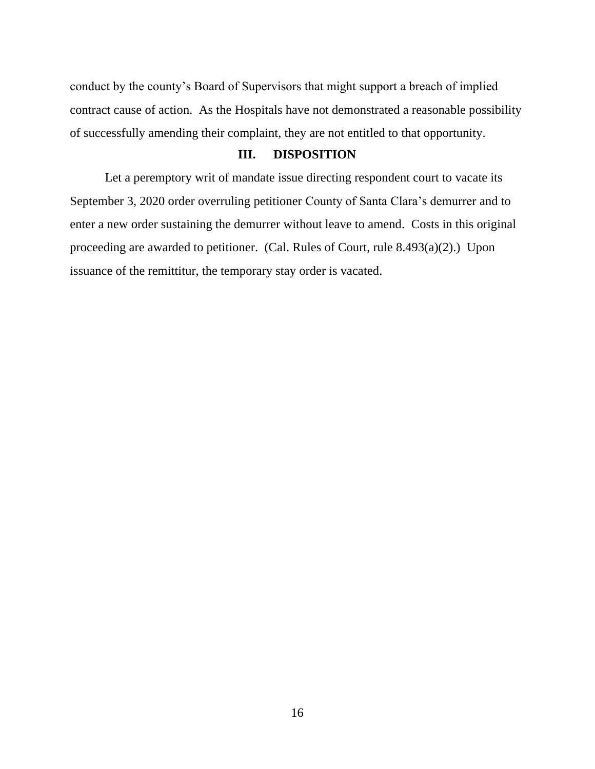conduct by the county's Board of Supervisors that might support a breach of implied contract cause of action. As the Hospitals have not demonstrated a reasonable possibility of successfully amending their complaint, they are not entitled to that opportunity.

#### **III. DISPOSITION**

Let a peremptory writ of mandate issue directing respondent court to vacate its September 3, 2020 order overruling petitioner County of Santa Clara's demurrer and to enter a new order sustaining the demurrer without leave to amend. Costs in this original proceeding are awarded to petitioner. (Cal. Rules of Court, rule 8.493(a)(2).) Upon issuance of the remittitur, the temporary stay order is vacated.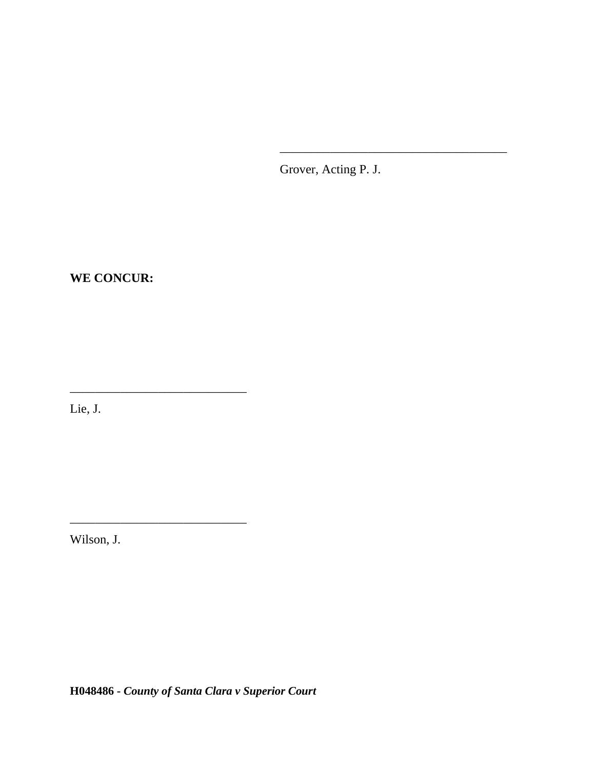Grover, Acting P. J.

\_\_\_\_\_\_\_\_\_\_\_\_\_\_\_\_\_\_\_\_\_\_\_\_\_\_\_\_\_\_\_\_\_\_\_\_

**WE CONCUR:**

\_\_\_\_\_\_\_\_\_\_\_\_\_\_\_\_\_\_\_\_\_\_\_\_\_\_\_\_

\_\_\_\_\_\_\_\_\_\_\_\_\_\_\_\_\_\_\_\_\_\_\_\_\_\_\_\_

Lie, J.

Wilson, J.

**H048486 -** *County of Santa Clara v Superior Court*